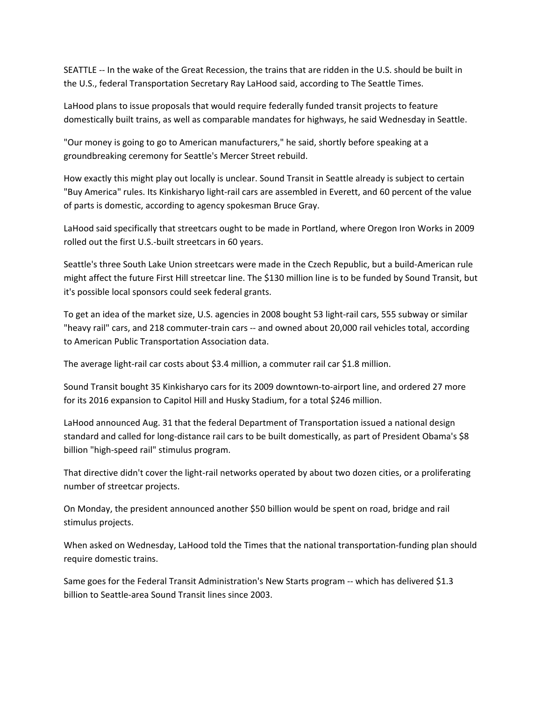SEATTLE -- In the wake of the Great Recession, the trains that are ridden in the U.S. should be built in the U.S., federal Transportation Secretary Ray LaHood said, according to The Seattle Times.

LaHood plans to issue proposals that would require federally funded transit projects to feature domestically built trains, as well as comparable mandates for highways, he said Wednesday in Seattle.

"Our money is going to go to American manufacturers," he said, shortly before speaking at a groundbreaking ceremony for Seattle's Mercer Street rebuild.

How exactly this might play out locally is unclear. Sound Transit in Seattle already is subject to certain "Buy America" rules. Its Kinkisharyo light‐rail cars are assembled in Everett, and 60 percent of the value of parts is domestic, according to agency spokesman Bruce Gray.

LaHood said specifically that streetcars ought to be made in Portland, where Oregon Iron Works in 2009 rolled out the first U.S.‐built streetcars in 60 years.

Seattle's three South Lake Union streetcars were made in the Czech Republic, but a build‐American rule might affect the future First Hill streetcar line. The \$130 million line is to be funded by Sound Transit, but it's possible local sponsors could seek federal grants.

To get an idea of the market size, U.S. agencies in 2008 bought 53 light‐rail cars, 555 subway or similar "heavy rail" cars, and 218 commuter‐train cars ‐‐ and owned about 20,000 rail vehicles total, according to American Public Transportation Association data.

The average light-rail car costs about \$3.4 million, a commuter rail car \$1.8 million.

Sound Transit bought 35 Kinkisharyo cars for its 2009 downtown‐to‐airport line, and ordered 27 more for its 2016 expansion to Capitol Hill and Husky Stadium, for a total \$246 million.

LaHood announced Aug. 31 that the federal Department of Transportation issued a national design standard and called for long-distance rail cars to be built domestically, as part of President Obama's \$8 billion "high‐speed rail" stimulus program.

That directive didn't cover the light-rail networks operated by about two dozen cities, or a proliferating number of streetcar projects.

On Monday, the president announced another \$50 billion would be spent on road, bridge and rail stimulus projects.

When asked on Wednesday, LaHood told the Times that the national transportation‐funding plan should require domestic trains.

Same goes for the Federal Transit Administration's New Starts program ‐‐ which has delivered \$1.3 billion to Seattle‐area Sound Transit lines since 2003.